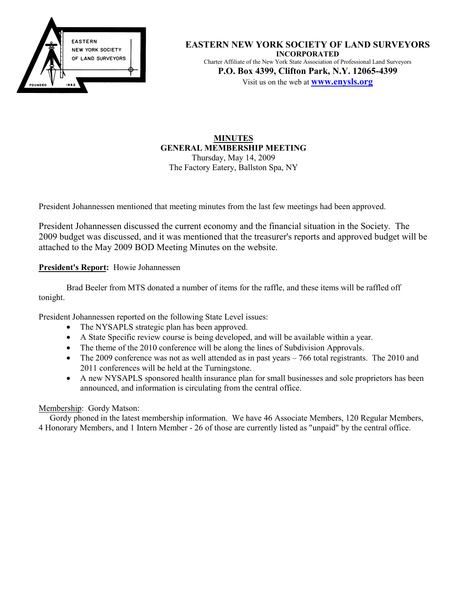

**EASTERN NEW YORK SOCIETY OF LAND SURVEYORS INCORPORATED** Charter Affiliate of the New York State Association of Professional Land Surveyors **P.O. Box 4399, Clifton Park, N.Y. 12065-4399** Visit us on the web at **www.enysls.org**

## **MINUTES GENERAL MEMBERSHIP MEETING** Thursday, May 14, 2009 The Factory Eatery, Ballston Spa, NY

President Johannessen mentioned that meeting minutes from the last few meetings had been approved.

President Johannessen discussed the current economy and the financial situation in the Society. The 2009 budget was discussed, and it was mentioned that the treasurer's reports and approved budget will be attached to the May 2009 BOD Meeting Minutes on the website.

**President's Report:** Howie Johannessen

Brad Beeler from MTS donated a number of items for the raffle, and these items will be raffled off tonight.

President Johannessen reported on the following State Level issues:

- The NYSAPLS strategic plan has been approved.
- A State Specific review course is being developed, and will be available within a year.
- The theme of the 2010 conference will be along the lines of Subdivision Approvals.
- The 2009 conference was not as well attended as in past years 766 total registrants. The 2010 and 2011 conferences will be held at the Turningstone.
- A new NYSAPLS sponsored health insurance plan for small businesses and sole proprietors has been announced, and information is circulating from the central office.

# Membership: Gordy Matson:

Gordy phoned in the latest membership information. We have 46 Associate Members, 120 Regular Members, 4 Honorary Members, and 1 Intern Member - 26 of those are currently listed as "unpaid" by the central office.